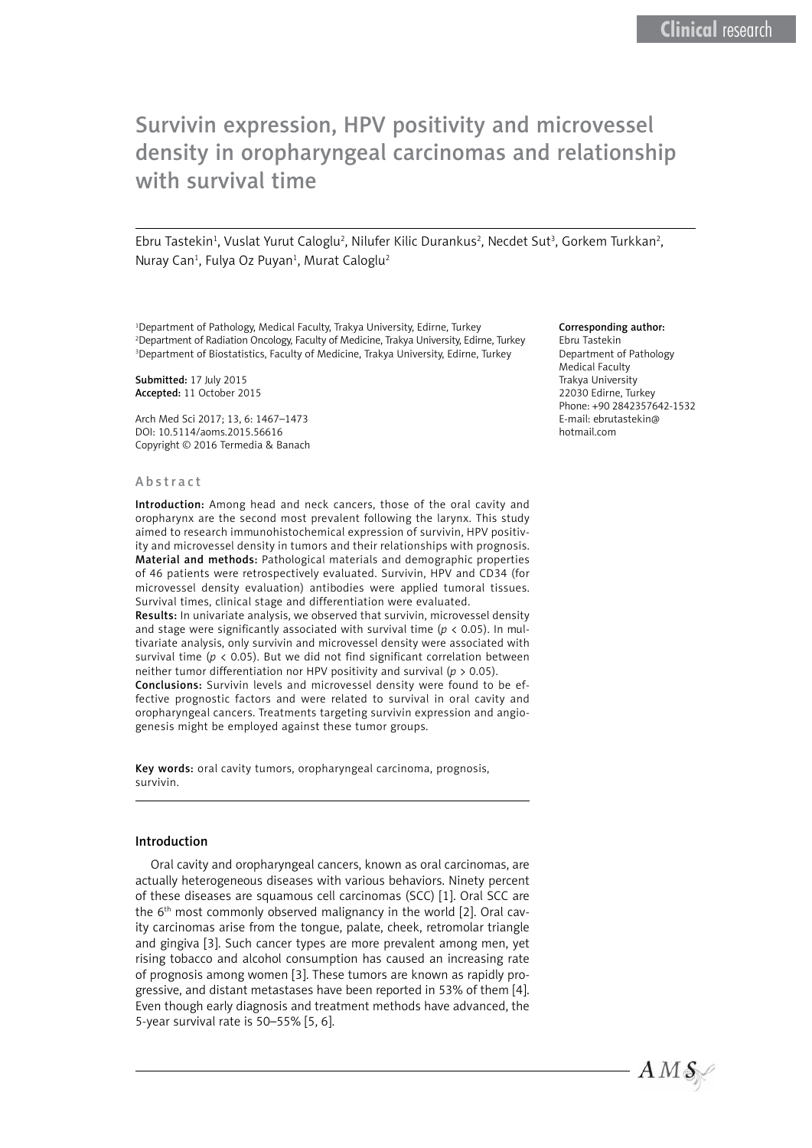# Survivin expression, HPV positivity and microvessel density in oropharyngeal carcinomas and relationship with survival time

Ebru Tastekin<sup>1</sup>, Vuslat Yurut Caloglu<sup>2</sup>, Nilufer Kilic Durankus<sup>2</sup>, Necdet Sut<sup>3</sup>, Gorkem Turkkan<sup>2</sup>, Nuray Can<sup>1</sup>, Fulya Oz Puyan<sup>1</sup>, Murat Caloglu<sup>2</sup>

1 Department of Pathology, Medical Faculty, Trakya University, Edirne, Turkey 2 Department of Radiation Oncology, Faculty of Medicine, Trakya University, Edirne, Turkey 3 Department of Biostatistics, Faculty of Medicine, Trakya University, Edirne, Turkey

Submitted: 17 July 2015 Accepted: 11 October 2015

Arch Med Sci 2017; 13, 6: 1467–1473 DOI: 10.5114/aoms.2015.56616 Copyright © 2016 Termedia & Banach

#### Abstract

Introduction: Among head and neck cancers, those of the oral cavity and oropharynx are the second most prevalent following the larynx. This study aimed to research immunohistochemical expression of survivin, HPV positivity and microvessel density in tumors and their relationships with prognosis. Material and methods: Pathological materials and demographic properties of 46 patients were retrospectively evaluated. Survivin, HPV and CD34 (for microvessel density evaluation) antibodies were applied tumoral tissues. Survival times, clinical stage and differentiation were evaluated.

Results: In univariate analysis, we observed that survivin, microvessel density and stage were significantly associated with survival time ( $p < 0.05$ ). In multivariate analysis, only survivin and microvessel density were associated with survival time ( $p < 0.05$ ). But we did not find significant correlation between neither tumor differentiation nor HPV positivity and survival (*p* > 0.05).

Conclusions: Survivin levels and microvessel density were found to be effective prognostic factors and were related to survival in oral cavity and oropharyngeal cancers. Treatments targeting survivin expression and angiogenesis might be employed against these tumor groups.

Key words: oral cavity tumors, oropharyngeal carcinoma, prognosis, survivin.

## Introduction

Oral cavity and oropharyngeal cancers, known as oral carcinomas, are actually heterogeneous diseases with various behaviors. Ninety percent of these diseases are squamous cell carcinomas (SCC) [1]. Oral SCC are the 6<sup>th</sup> most commonly observed malignancy in the world [2]. Oral cavity carcinomas arise from the tongue, palate, cheek, retromolar triangle and gingiva [3]. Such cancer types are more prevalent among men, yet rising tobacco and alcohol consumption has caused an increasing rate of prognosis among women [3]. These tumors are known as rapidly progressive, and distant metastases have been reported in 53% of them [4]. Even though early diagnosis and treatment methods have advanced, the 5-year survival rate is 50–55% [5, 6].

#### Corresponding author:

Ebru Tastekin Department of Pathology Medical Faculty Trakya University 22030 Edirne, Turkey Phone: +90 2842357642-1532 E-mail: [ebrutastekin@](mailto:ebrutastekin@hotmail.com) [hotmail.com](mailto:ebrutastekin@hotmail.com)

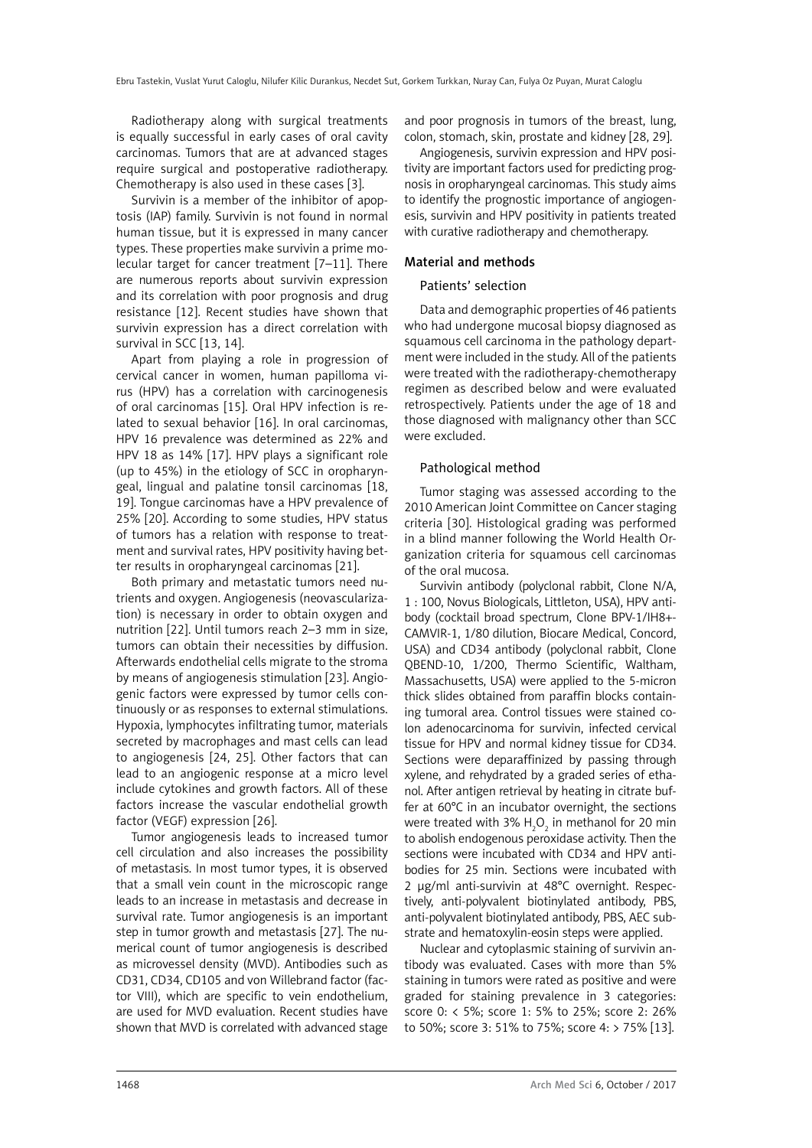Radiotherapy along with surgical treatments is equally successful in early cases of oral cavity carcinomas. Tumors that are at advanced stages require surgical and postoperative radiotherapy. Chemotherapy is also used in these cases [3].

Survivin is a member of the inhibitor of apoptosis (IAP) family. Survivin is not found in normal human tissue, but it is expressed in many cancer types. These properties make survivin a prime molecular target for cancer treatment [7–11]. There are numerous reports about survivin expression and its correlation with poor prognosis and drug resistance [12]. Recent studies have shown that survivin expression has a direct correlation with survival in SCC [13, 14].

Apart from playing a role in progression of cervical cancer in women, human papilloma virus (HPV) has a correlation with carcinogenesis of oral carcinomas [15]. Oral HPV infection is related to sexual behavior [16]. In oral carcinomas, HPV 16 prevalence was determined as 22% and HPV 18 as 14% [17]. HPV plays a significant role (up to 45%) in the etiology of SCC in oropharyngeal, lingual and palatine tonsil carcinomas [18, 19]. Tongue carcinomas have a HPV prevalence of 25% [20]. According to some studies, HPV status of tumors has a relation with response to treatment and survival rates, HPV positivity having better results in oropharyngeal carcinomas [21].

Both primary and metastatic tumors need nutrients and oxygen. Angiogenesis (neovascularization) is necessary in order to obtain oxygen and nutrition [22]. Until tumors reach 2–3 mm in size, tumors can obtain their necessities by diffusion. Afterwards endothelial cells migrate to the stroma by means of angiogenesis stimulation [23]. Angiogenic factors were expressed by tumor cells continuously or as responses to external stimulations. Hypoxia, lymphocytes infiltrating tumor, materials secreted by macrophages and mast cells can lead to angiogenesis [24, 25]. Other factors that can lead to an angiogenic response at a micro level include cytokines and growth factors. All of these factors increase the vascular endothelial growth factor (VEGF) expression [26].

Tumor angiogenesis leads to increased tumor cell circulation and also increases the possibility of metastasis. In most tumor types, it is observed that a small vein count in the microscopic range leads to an increase in metastasis and decrease in survival rate. Tumor angiogenesis is an important step in tumor growth and metastasis [27]. The numerical count of tumor angiogenesis is described as microvessel density (MVD). Antibodies such as CD31, CD34, CD105 and von Willebrand factor (factor VIII), which are specific to vein endothelium, are used for MVD evaluation. Recent studies have shown that MVD is correlated with advanced stage and poor prognosis in tumors of the breast, lung, colon, stomach, skin, prostate and kidney [28, 29].

Angiogenesis, survivin expression and HPV positivity are important factors used for predicting prognosis in oropharyngeal carcinomas. This study aims to identify the prognostic importance of angiogenesis, survivin and HPV positivity in patients treated with curative radiotherapy and chemotherapy.

### Material and methods

#### Patients' selection

Data and demographic properties of 46 patients who had undergone mucosal biopsy diagnosed as squamous cell carcinoma in the pathology department were included in the study. All of the patients were treated with the radiotherapy-chemotherapy regimen as described below and were evaluated retrospectively. Patients under the age of 18 and those diagnosed with malignancy other than SCC were excluded.

#### Pathological method

Tumor staging was assessed according to the 2010 American Joint Committee on Cancer staging criteria [30]. Histological grading was performed in a blind manner following the World Health Organization criteria for squamous cell carcinomas of the oral mucosa.

Survivin antibody (polyclonal rabbit, Clone N/A, 1 : 100, Novus Biologicals, Littleton, USA), HPV antibody (cocktail broad spectrum, Clone BPV-1/IH8+- CAMVIR-1, 1/80 dilution, Biocare Medical, Concord, USA) and CD34 antibody (polyclonal rabbit, Clone QBEND-10, 1/200, Thermo Scientific, Waltham, Massachusetts, USA) were applied to the 5-micron thick slides obtained from paraffin blocks containing tumoral area. Control tissues were stained colon adenocarcinoma for survivin, infected cervical tissue for HPV and normal kidney tissue for CD34. Sections were deparaffinized by passing through xylene, and rehydrated by a graded series of ethanol. After antigen retrieval by heating in citrate buffer at 60°C in an incubator overnight, the sections were treated with 3%  $H_2O_2$  in methanol for 20 min to abolish endogenous peroxidase activity. Then the sections were incubated with CD34 and HPV antibodies for 25 min. Sections were incubated with 2 µg/ml anti-survivin at 48°C overnight. Respectively, anti-polyvalent biotinylated antibody, PBS, anti-polyvalent biotinylated antibody, PBS, AEC substrate and hematoxylin-eosin steps were applied.

Nuclear and cytoplasmic staining of survivin antibody was evaluated. Cases with more than 5% staining in tumors were rated as positive and were graded for staining prevalence in 3 categories: score 0: < 5%; score 1: 5% to 25%; score 2: 26% to 50%; score 3: 51% to 75%; score 4: > 75% [13].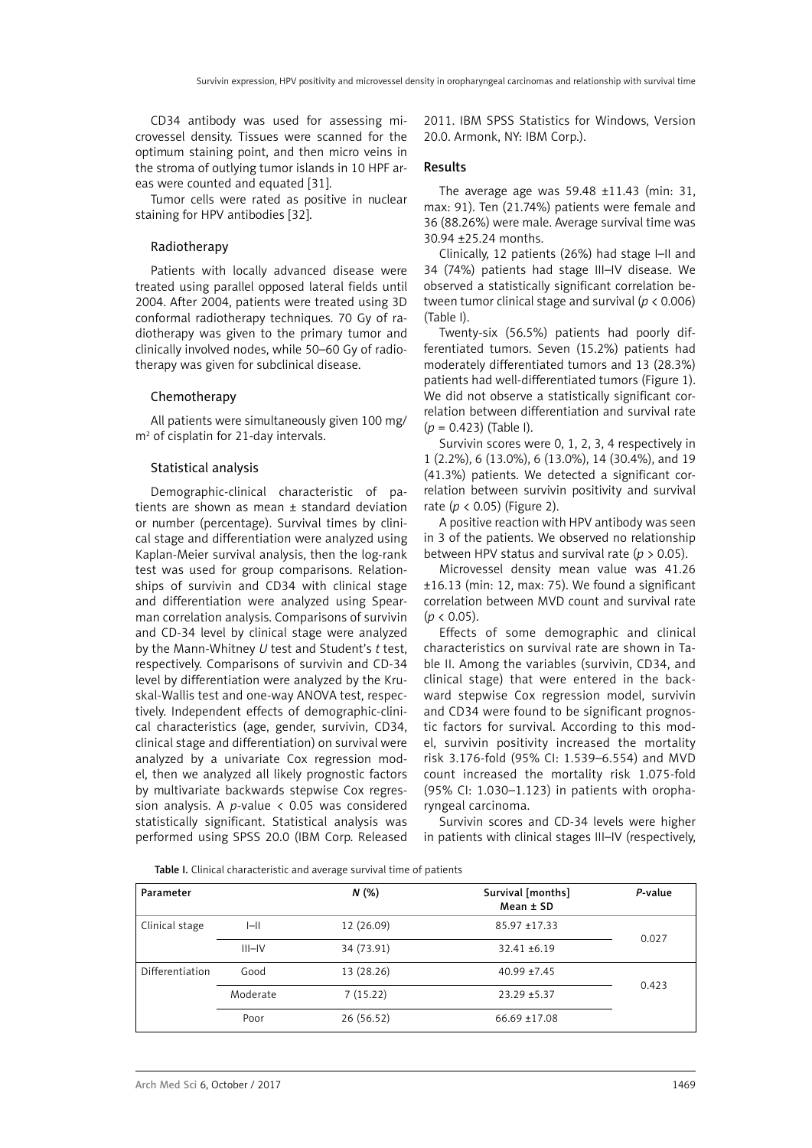CD34 antibody was used for assessing microvessel density. Tissues were scanned for the optimum staining point, and then micro veins in the stroma of outlying tumor islands in 10 HPF areas were counted and equated [31].

Tumor cells were rated as positive in nuclear staining for HPV antibodies [32].

#### Radiotherapy

Patients with locally advanced disease were treated using parallel opposed lateral fields until 2004. After 2004, patients were treated using 3D conformal radiotherapy techniques. 70 Gy of radiotherapy was given to the primary tumor and clinically involved nodes, while 50–60 Gy of radiotherapy was given for subclinical disease.

#### Chemotherapy

All patients were simultaneously given 100 mg/ m2 of cisplatin for 21-day intervals.

#### Statistical analysis

Demographic-clinical characteristic of patients are shown as mean ± standard deviation or number (percentage). Survival times by clinical stage and differentiation were analyzed using Kaplan-Meier survival analysis, then the log-rank test was used for group comparisons. Relationships of survivin and CD34 with clinical stage and differentiation were analyzed using Spearman correlation analysis. Comparisons of survivin and CD-34 level by clinical stage were analyzed by the Mann-Whitney *U* test and Student's *t* test, respectively. Comparisons of survivin and CD-34 level by differentiation were analyzed by the Kruskal-Wallis test and one-way ANOVA test, respectively. Independent effects of demographic-clinical characteristics (age, gender, survivin, CD34, clinical stage and differentiation) on survival were analyzed by a univariate Cox regression model, then we analyzed all likely prognostic factors by multivariate backwards stepwise Cox regression analysis. A *p*-value < 0.05 was considered statistically significant. Statistical analysis was performed using SPSS 20.0 (IBM Corp. Released

2011. IBM SPSS Statistics for Windows, Version 20.0. Armonk, NY: IBM Corp.).

### Results

The average age was 59.48 ±11.43 (min: 31, max: 91). Ten (21.74%) patients were female and 36 (88.26%) were male. Average survival time was 30.94 ±25.24 months.

Clinically, 12 patients (26%) had stage I–II and 34 (74%) patients had stage III–IV disease. We observed a statistically significant correlation between tumor clinical stage and survival (*p* < 0.006) (Table I).

Twenty-six (56.5%) patients had poorly differentiated tumors. Seven (15.2%) patients had moderately differentiated tumors and 13 (28.3%) patients had well-differentiated tumors (Figure 1). We did not observe a statistically significant correlation between differentiation and survival rate (*p* = 0.423) (Table I).

Survivin scores were 0, 1, 2, 3, 4 respectively in 1 (2.2%), 6 (13.0%), 6 (13.0%), 14 (30.4%), and 19 (41.3%) patients. We detected a significant correlation between survivin positivity and survival rate (*p* < 0.05) (Figure 2).

A positive reaction with HPV antibody was seen in 3 of the patients. We observed no relationship between HPV status and survival rate (*p* > 0.05).

Microvessel density mean value was 41.26 ±16.13 (min: 12, max: 75). We found a significant correlation between MVD count and survival rate  $(p < 0.05)$ .

Effects of some demographic and clinical characteristics on survival rate are shown in Table II. Among the variables (survivin, CD34, and clinical stage) that were entered in the backward stepwise Cox regression model, survivin and CD34 were found to be significant prognostic factors for survival. According to this model, survivin positivity increased the mortality risk 3.176-fold (95% CI: 1.539–6.554) and MVD count increased the mortality risk 1.075-fold (95% CI: 1.030–1.123) in patients with oropharyngeal carcinoma.

Survivin scores and CD-34 levels were higher in patients with clinical stages III–IV (respectively,

Table I. Clinical characteristic and average survival time of patients

| Parameter       |           | N(%)       | Survival [months]<br>Mean $\pm$ SD | P-value |
|-----------------|-----------|------------|------------------------------------|---------|
| Clinical stage  | $I - II$  | 12 (26.09) | $85.97 \pm 17.33$                  |         |
|                 | $III$ -IV | 34 (73.91) | $32.41 \pm 6.19$                   | 0.027   |
| Differentiation | Good      | 13 (28.26) | $40.99 + 7.45$                     |         |
|                 | Moderate  | 7(15.22)   | $23.29 \pm 5.37$                   | 0.423   |
|                 | Poor      | 26 (56.52) | $66.69 \pm 17.08$                  |         |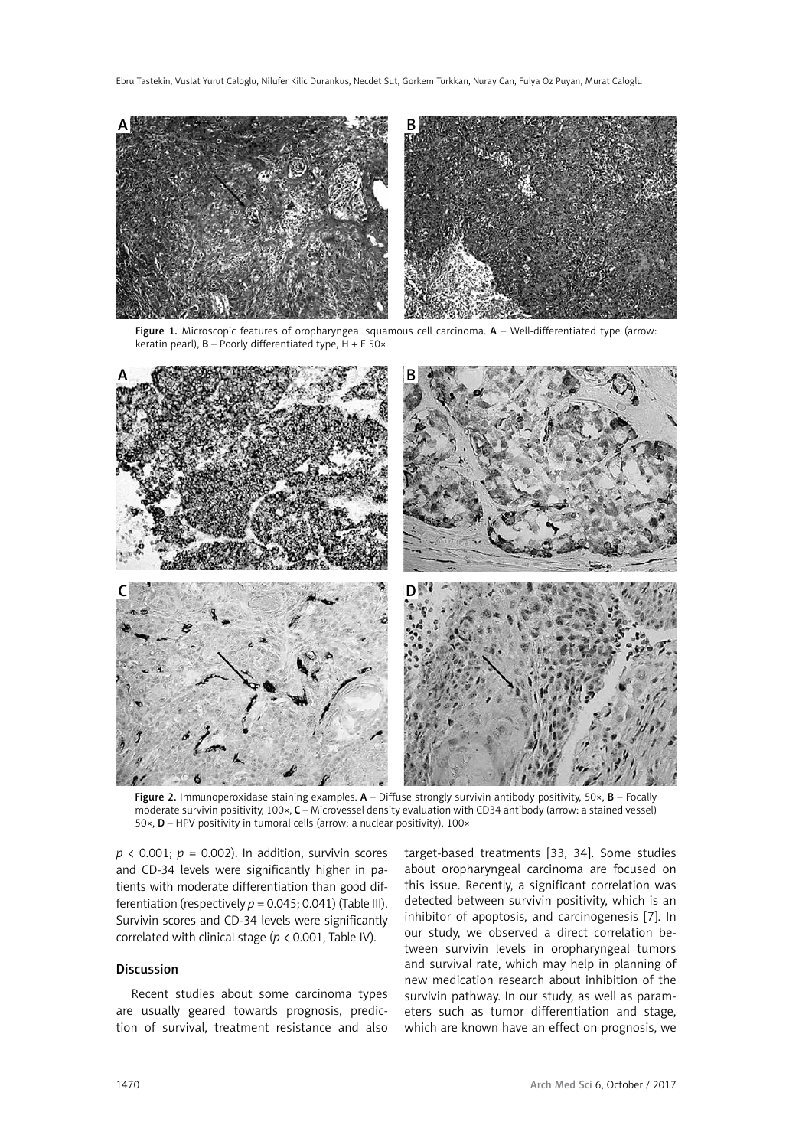Ebru Tastekin, Vuslat Yurut Caloglu, Nilufer Kilic Durankus, Necdet Sut, Gorkem Turkkan, Nuray Can, Fulya Oz Puyan, Murat Caloglu



Figure 1. Microscopic features of oropharyngeal squamous cell carcinoma. A - Well-differentiated type (arrow: keratin pearl),  $B$  – Poorly differentiated type,  $H + E$  50×



Figure 2. Immunoperoxidase staining examples.  $A$  – Diffuse strongly survivin antibody positivity, 50×,  $B$  – Focally moderate survivin positivity, 100×, C – Microvessel density evaluation with CD34 antibody (arrow: a stained vessel) 50×, D – HPV positivity in tumoral cells (arrow: a nuclear positivity), 100×

 $p$  < 0.001;  $p$  = 0.002). In addition, survivin scores and CD-34 levels were significantly higher in patients with moderate differentiation than good differentiation (respectively  $p = 0.045$ ; 0.041) (Table III). Survivin scores and CD-34 levels were significantly correlated with clinical stage (*p* < 0.001, Table IV).

# Discussion

Recent studies about some carcinoma types are usually geared towards prognosis, prediction of survival, treatment resistance and also target-based treatments [33, 34]. Some studies about oropharyngeal carcinoma are focused on this issue. Recently, a significant correlation was detected between survivin positivity, which is an inhibitor of apoptosis, and carcinogenesis [7]. In our study, we observed a direct correlation between survivin levels in oropharyngeal tumors and survival rate, which may help in planning of new medication research about inhibition of the survivin pathway. In our study, as well as parameters such as tumor differentiation and stage, which are known have an effect on prognosis, we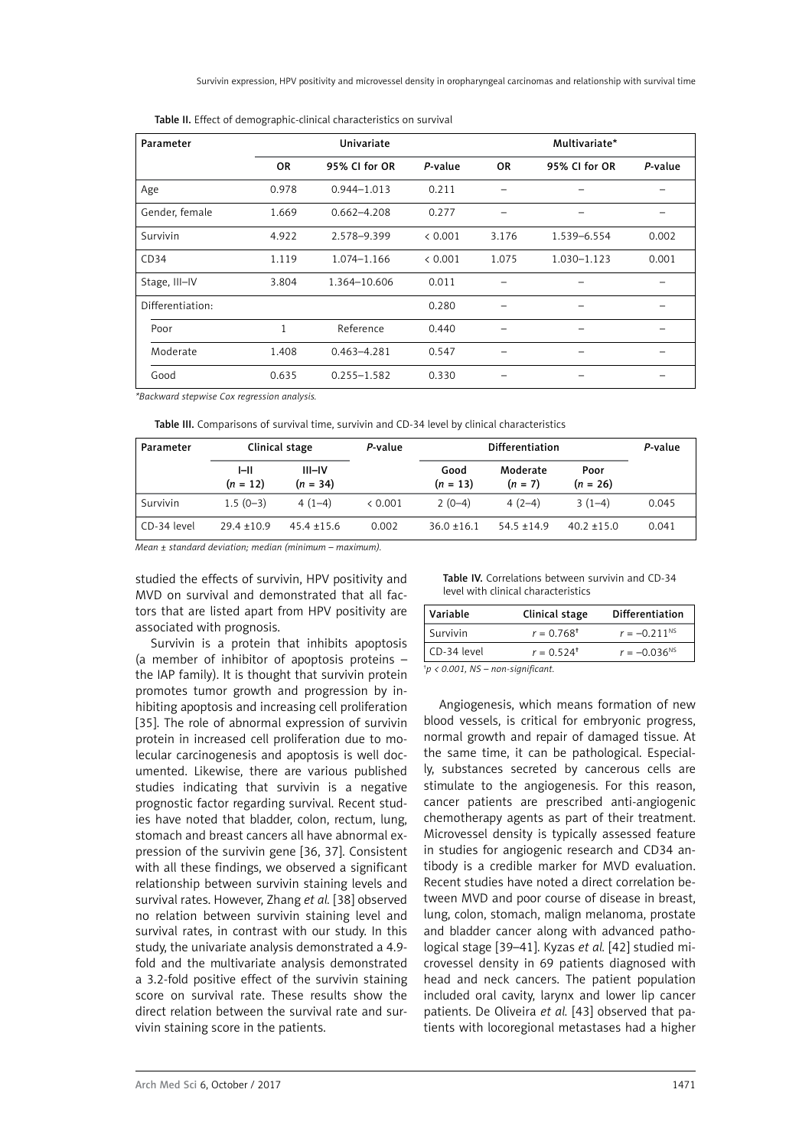| Parameter        | Univariate |                 |         | Multivariate* |               |         |  |
|------------------|------------|-----------------|---------|---------------|---------------|---------|--|
|                  | <b>OR</b>  | 95% CI for OR   | P-value | <b>OR</b>     | 95% CI for OR | P-value |  |
| Age              | 0.978      | $0.944 - 1.013$ | 0.211   |               |               |         |  |
| Gender, female   | 1.669      | $0.662 - 4.208$ | 0.277   |               |               |         |  |
| Survivin         | 4.922      | 2.578-9.399     | < 0.001 | 3.176         | 1.539-6.554   | 0.002   |  |
| CD34             | 1.119      | 1.074-1.166     | < 0.001 | 1.075         | 1.030-1.123   | 0.001   |  |
| Stage, III-IV    | 3.804      | 1.364-10.606    | 0.011   |               |               |         |  |
| Differentiation: |            |                 | 0.280   | -             | -             | -       |  |
| Poor             | 1          | Reference       | 0.440   |               |               |         |  |
| Moderate         | 1.408      | $0.463 - 4.281$ | 0.547   |               |               |         |  |
| Good             | 0.635      | $0.255 - 1.582$ | 0.330   |               | -             |         |  |

Table II. Effect of demographic-clinical characteristics on survival

*\*Backward stepwise Cox regression analysis.*

Table III. Comparisons of survival time, survivin and CD-34 level by clinical characteristics

| Parameter   | Clinical stage       |                      | P-value | Differentiation    |                       |                    | P-value |
|-------------|----------------------|----------------------|---------|--------------------|-----------------------|--------------------|---------|
|             | $I=II$<br>$(n = 12)$ | III–IV<br>$(n = 34)$ |         | Good<br>$(n = 13)$ | Moderate<br>$(n = 7)$ | Poor<br>$(n = 26)$ |         |
| Survivin    | $1.5(0-3)$           | $4(1-4)$             | < 0.001 | $2(0-4)$           | $4(2-4)$              | $3(1-4)$           | 0.045   |
| CD-34 level | $29.4 \pm 10.9$      | $45.4 \pm 15.6$      | 0.002   | $36.0 \pm 16.1$    | $54.5 + 14.9$         | $40.2 \pm 15.0$    | 0.041   |

*Mean ± standard deviation; median (minimum – maximum).*

studied the effects of survivin, HPV positivity and MVD on survival and demonstrated that all factors that are listed apart from HPV positivity are associated with prognosis.

Survivin is a protein that inhibits apoptosis (a member of inhibitor of apoptosis proteins – the IAP family). It is thought that survivin protein promotes tumor growth and progression by inhibiting apoptosis and increasing cell proliferation [35]. The role of abnormal expression of survivin protein in increased cell proliferation due to molecular carcinogenesis and apoptosis is well documented. Likewise, there are various published studies indicating that survivin is a negative prognostic factor regarding survival. Recent studies have noted that bladder, colon, rectum, lung, stomach and breast cancers all have abnormal expression of the survivin gene [36, 37]. Consistent with all these findings, we observed a significant relationship between survivin staining levels and survival rates. However, Zhang *et al.* [38] observed no relation between survivin staining level and survival rates, in contrast with our study. In this study, the univariate analysis demonstrated a 4.9 fold and the multivariate analysis demonstrated a 3.2-fold positive effect of the survivin staining score on survival rate. These results show the direct relation between the survival rate and survivin staining score in the patients.

Table IV. Correlations between survivin and CD-34 level with clinical characteristics

| Clinical stage           | <b>Differentiation</b> |
|--------------------------|------------------------|
| $r = 0.768^{\dagger}$    | $r = -0.211^{NS}$      |
| $r = 0.524$ <sup>†</sup> | $r = -0.036NS$         |
|                          |                        |

*† p < 0.001, NS – non-significant.*

Angiogenesis, which means formation of new blood vessels, is critical for embryonic progress, normal growth and repair of damaged tissue. At the same time, it can be pathological. Especially, substances secreted by cancerous cells are stimulate to the angiogenesis. For this reason, cancer patients are prescribed anti-angiogenic chemotherapy agents as part of their treatment. Microvessel density is typically assessed feature in studies for angiogenic research and CD34 antibody is a credible marker for MVD evaluation. Recent studies have noted a direct correlation between MVD and poor course of disease in breast, lung, colon, stomach, malign melanoma, prostate and bladder cancer along with advanced pathological stage [39-41]. Kyzas et al. [42] studied microvessel density in 69 patients diagnosed with head and neck cancers. The patient population included oral cavity, larynx and lower lip cancer patients. De Oliveira *et al.* [43] observed that patients with locoregional metastases had a higher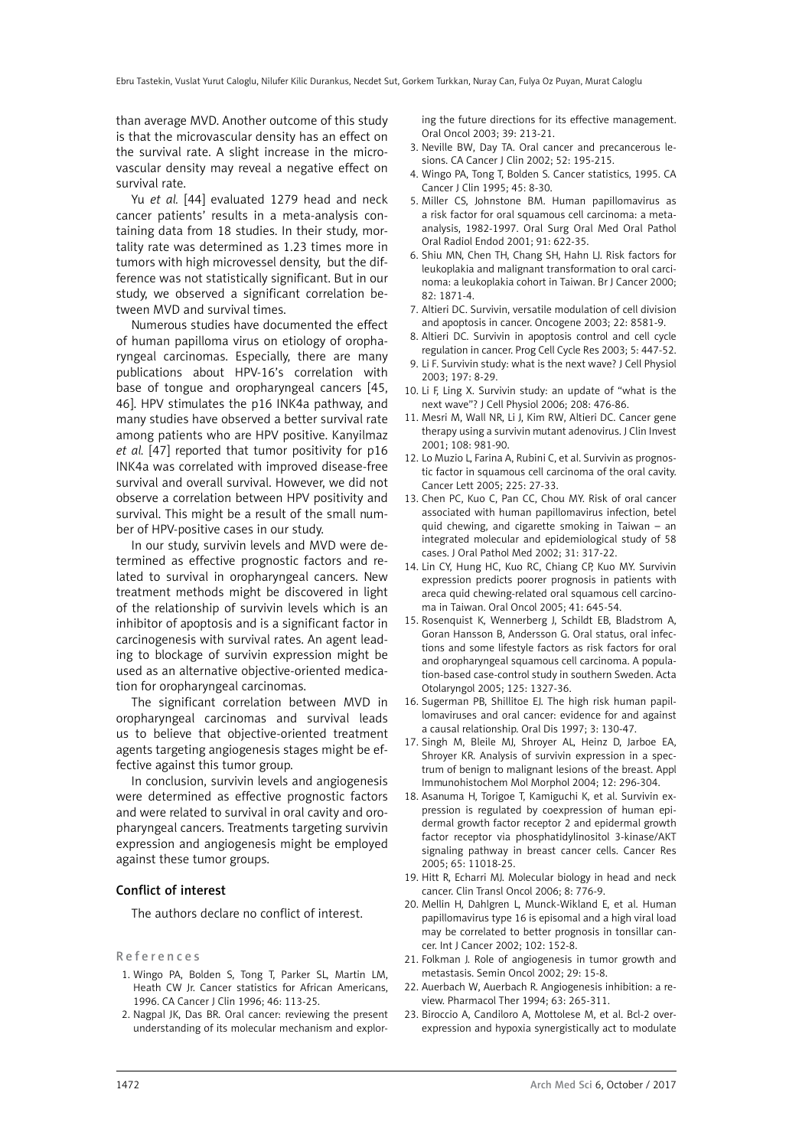than average MVD. Another outcome of this study is that the microvascular density has an effect on the survival rate. A slight increase in the microvascular density may reveal a negative effect on survival rate.

Yu *et al.* [44] evaluated 1279 head and neck cancer patients' results in a meta-analysis containing data from 18 studies. In their study, mortality rate was determined as 1.23 times more in tumors with high microvessel density, but the difference was not statistically significant. But in our study, we observed a significant correlation between MVD and survival times.

Numerous studies have documented the effect of human papilloma virus on etiology of oropharyngeal carcinomas. Especially, there are many publications about HPV-16's correlation with base of tongue and oropharyngeal cancers [45, 46]. HPV stimulates the p16 INK4a pathway, and many studies have observed a better survival rate among patients who are HPV positive. Kanyilmaz *et al.* [47] reported that tumor positivity for p16 INK4a was correlated with improved disease-free survival and overall survival. However, we did not observe a correlation between HPV positivity and survival. This might be a result of the small number of HPV-positive cases in our study.

In our study, survivin levels and MVD were determined as effective prognostic factors and related to survival in oropharyngeal cancers. New treatment methods might be discovered in light of the relationship of survivin levels which is an inhibitor of apoptosis and is a significant factor in carcinogenesis with survival rates. An agent leading to blockage of survivin expression might be used as an alternative objective-oriented medication for oropharyngeal carcinomas.

The significant correlation between MVD in oropharyngeal carcinomas and survival leads us to believe that objective-oriented treatment agents targeting angiogenesis stages might be effective against this tumor group.

In conclusion, survivin levels and angiogenesis were determined as effective prognostic factors and were related to survival in oral cavity and oropharyngeal cancers. Treatments targeting survivin expression and angiogenesis might be employed against these tumor groups.

# Conflict of interest

The authors declare no conflict of interest.

#### References

- 1. Wingo PA, Bolden S, Tong T, Parker SL, Martin LM, Heath CW Jr. Cancer statistics for African Americans, 1996. CA Cancer J Clin 1996; 46: 113-25.
- 2. Nagpal JK, Das BR. Oral cancer: reviewing the present understanding of its molecular mechanism and explor-

ing the future directions for its effective management. Oral Oncol 2003; 39: 213-21.

- 3. Neville BW, Day TA. Oral cancer and precancerous lesions. CA Cancer J Clin 2002; 52: 195-215.
- 4. Wingo PA, Tong T, Bolden S. Cancer statistics, 1995. CA Cancer J Clin 1995; 45: 8-30.
- 5. Miller CS, Johnstone BM. Human papillomavirus as a risk factor for oral squamous cell carcinoma: a metaanalysis, 1982-1997. Oral Surg Oral Med Oral Pathol Oral Radiol Endod 2001; 91: 622-35.
- 6. Shiu MN, Chen TH, Chang SH, Hahn LJ. Risk factors for leukoplakia and malignant transformation to oral carcinoma: a leukoplakia cohort in Taiwan. Br J Cancer 2000; 82: 1871-4.
- 7. Altieri DC. Survivin, versatile modulation of cell division and apoptosis in cancer. Oncogene 2003; 22: 8581-9.
- 8. Altieri DC. Survivin in apoptosis control and cell cycle regulation in cancer. Prog Cell Cycle Res 2003; 5: 447-52.
- 9. Li F. Survivin study: what is the next wave? J Cell Physiol 2003; 197: 8-29.
- 10. Li F, Ling X. Survivin study: an update of "what is the next wave"? J Cell Physiol 2006; 208: 476-86.
- 11. Mesri M, Wall NR, Li J, Kim RW, Altieri DC. Cancer gene therapy using a survivin mutant adenovirus. J Clin Invest 2001; 108: 981-90.
- 12. Lo Muzio L, Farina A, Rubini C, et al. Survivin as prognostic factor in squamous cell carcinoma of the oral cavity. Cancer Lett 2005; 225: 27-33.
- 13. Chen PC, Kuo C, Pan CC, Chou MY. Risk of oral cancer associated with human papillomavirus infection, betel quid chewing, and cigarette smoking in Taiwan – an integrated molecular and epidemiological study of 58 cases. J Oral Pathol Med 2002; 31: 317-22.
- 14. Lin CY, Hung HC, Kuo RC, Chiang CP, Kuo MY. Survivin expression predicts poorer prognosis in patients with areca quid chewing-related oral squamous cell carcinoma in Taiwan. Oral Oncol 2005; 41: 645-54.
- 15. Rosenquist K, Wennerberg J, Schildt EB, Bladstrom A, Goran Hansson B, Andersson G. Oral status, oral infections and some lifestyle factors as risk factors for oral and oropharyngeal squamous cell carcinoma. A population-based case-control study in southern Sweden. Acta Otolaryngol 2005; 125: 1327-36.
- 16. Sugerman PB, Shillitoe EJ. The high risk human papillomaviruses and oral cancer: evidence for and against a causal relationship. Oral Dis 1997; 3: 130-47.
- 17. Singh M, Bleile MJ, Shroyer AL, Heinz D, Jarboe EA, Shroyer KR. Analysis of survivin expression in a spectrum of benign to malignant lesions of the breast. Appl Immunohistochem Mol Morphol 2004; 12: 296-304.
- 18. Asanuma H, Torigoe T, Kamiguchi K, et al. Survivin expression is regulated by coexpression of human epidermal growth factor receptor 2 and epidermal growth factor receptor via phosphatidylinositol 3-kinase/AKT signaling pathway in breast cancer cells. Cancer Res 2005; 65: 11018-25.
- 19. Hitt R, Echarri MJ. Molecular biology in head and neck cancer. Clin Transl Oncol 2006; 8: 776-9.
- 20. Mellin H, Dahlgren L, Munck-Wikland E, et al. Human papillomavirus type 16 is episomal and a high viral load may be correlated to better prognosis in tonsillar cancer. Int J Cancer 2002; 102: 152-8.
- 21. Folkman J. Role of angiogenesis in tumor growth and metastasis. Semin Oncol 2002; 29: 15-8.
- 22. Auerbach W, Auerbach R. Angiogenesis inhibition: a review. Pharmacol Ther 1994; 63: 265-311.
- 23. Biroccio A, Candiloro A, Mottolese M, et al. Bcl-2 overexpression and hypoxia synergistically act to modulate